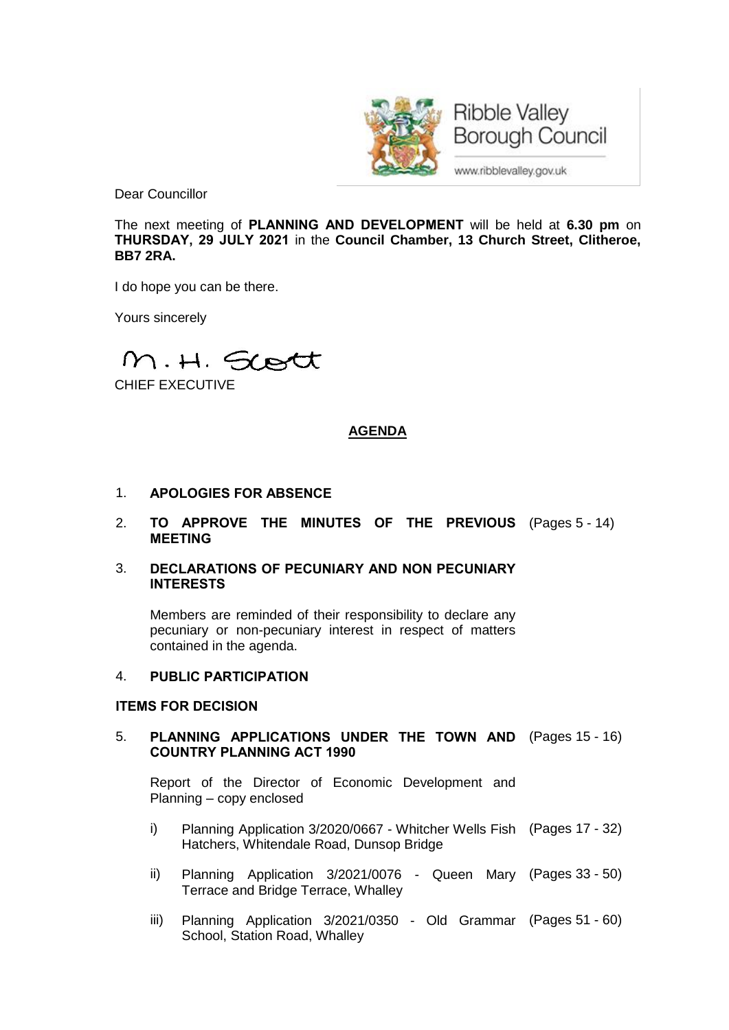

**Ribble Valley Borough Council** 

www.ribblevalley.gov.uk

Dear Councillor

The next meeting of **PLANNING AND DEVELOPMENT** will be held at **6.30 pm** on **THURSDAY, 29 JULY 2021** in the **Council Chamber, 13 Church Street, Clitheroe, BB7 2RA.**

I do hope you can be there.

Yours sincerely

M.H. Scott

CHIEF EXECUTIVE

# **AGENDA**

- 1. **APOLOGIES FOR ABSENCE**
- 2. **TO APPROVE THE MINUTES OF THE PREVIOUS** (Pages 5 14) **MEETING**
- 3. **DECLARATIONS OF PECUNIARY AND NON PECUNIARY INTERESTS**

Members are reminded of their responsibility to declare any pecuniary or non-pecuniary interest in respect of matters contained in the agenda.

## 4. **PUBLIC PARTICIPATION**

### **ITEMS FOR DECISION**

5. **PLANNING APPLICATIONS UNDER THE TOWN AND** (Pages 15 - 16) **COUNTRY PLANNING ACT 1990**

Report of the Director of Economic Development and Planning – copy enclosed

- i) Planning Application 3/2020/0667 Whitcher Wells Fish (Pages 17 32) Hatchers, Whitendale Road, Dunsop Bridge
- ii) Planning Application 3/2021/0076 Queen Mary (Pages 33 50) Terrace and Bridge Terrace, Whalley
- iii) Planning Application 3/2021/0350 Old Grammar (Pages 51 60)School, Station Road, Whalley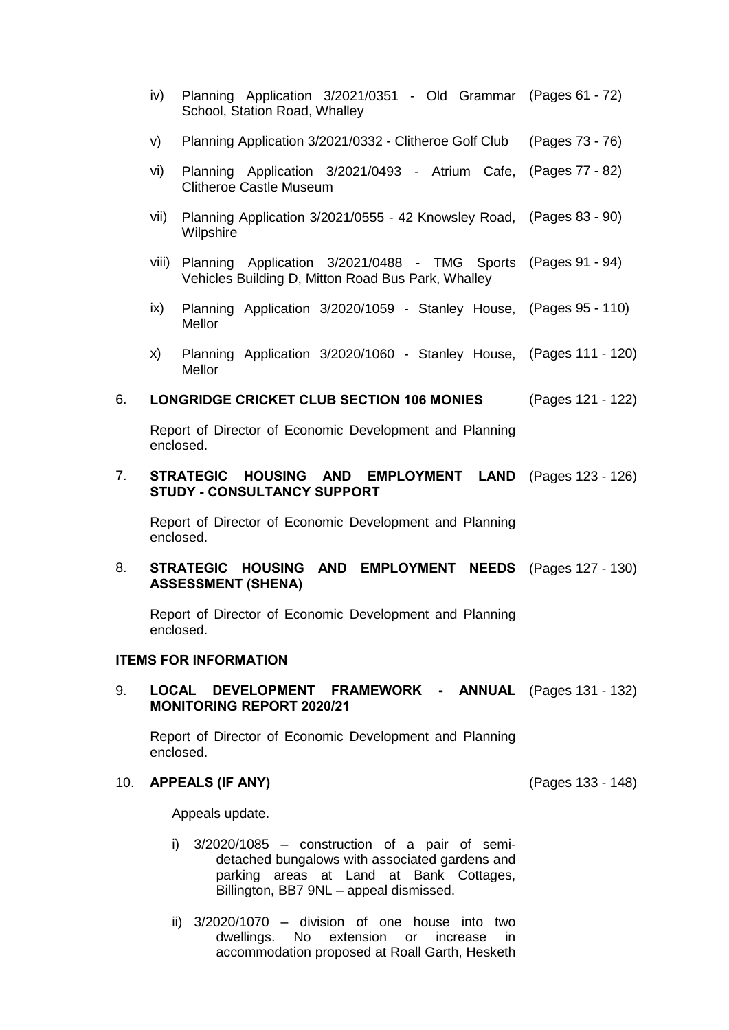- iv) Planning Application 3/2021/0351 Old Grammar (Pages 61 72) School, Station Road, Whalley
- v) Planning Application 3/2021/0332 Clitheroe Golf Club (Pages 73 76)
- vi) Planning Application 3/2021/0493 Atrium Cafe, (Pages 77 82) Clitheroe Castle Museum
- vii) Planning Application 3/2021/0555 42 Knowsley Road, (Pages 83 90) **Wilpshire**
- viii) Planning Application 3/2021/0488 TMG Sports (Pages 91 94) Vehicles Building D, Mitton Road Bus Park, Whalley
- ix) Planning Application 3/2020/1059 Stanley House, (Pages 95 110) **Mellor**
- x) Planning Application 3/2020/1060 Stanley House, (Pages 111 120) Mellor

### 6. **LONGRIDGE CRICKET CLUB SECTION 106 MONIES** (Pages 121 - 122)

Report of Director of Economic Development and Planning enclosed.

#### 7. **STRATEGIC HOUSING AND EMPLOYMENT LAND** (Pages 123 - 126) **STUDY - CONSULTANCY SUPPORT**

Report of Director of Economic Development and Planning enclosed.

#### 8. **STRATEGIC HOUSING AND EMPLOYMENT NEEDS** (Pages 127 - 130) **ASSESSMENT (SHENA)**

Report of Director of Economic Development and Planning enclosed.

### **ITEMS FOR INFORMATION**

#### 9. **LOCAL DEVELOPMENT FRAMEWORK - ANNUAL** (Pages 131 - 132) **MONITORING REPORT 2020/21**

Report of Director of Economic Development and Planning enclosed.

### 10. **APPEALS (IF ANY)** (Pages 133 - 148)

Appeals update.

- i) 3/2020/1085 construction of a pair of semidetached bungalows with associated gardens and parking areas at Land at Bank Cottages, Billington, BB7 9NL – appeal dismissed.
- ii) 3/2020/1070 division of one house into two dwellings. No extension or increase in accommodation proposed at Roall Garth, Hesketh